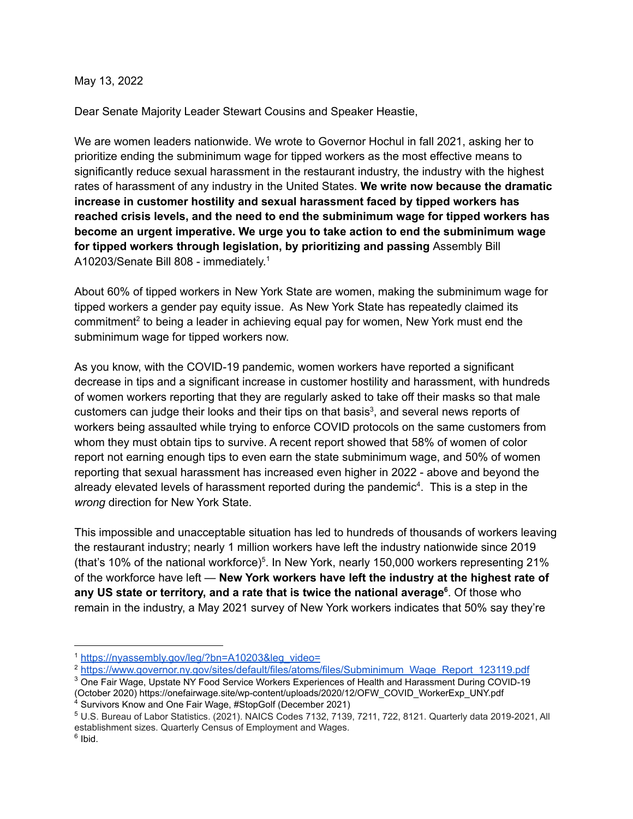## May 13, 2022

Dear Senate Majority Leader Stewart Cousins and Speaker Heastie,

We are women leaders nationwide. We wrote to Governor Hochul in fall 2021, asking her to prioritize ending the subminimum wage for tipped workers as the most effective means to significantly reduce sexual harassment in the restaurant industry, the industry with the highest rates of harassment of any industry in the United States. **We write now because the dramatic increase in customer hostility and sexual harassment faced by tipped workers has reached crisis levels, and the need to end the subminimum wage for tipped workers has become an urgent imperative. We urge you to take action to end the subminimum wage for tipped workers through legislation, by prioritizing and passing** Assembly Bill A10203/Senate Bill 808 - immediately.<sup>1</sup>

About 60% of tipped workers in New York State are women, making the subminimum wage for tipped workers a gender pay equity issue. As New York State has repeatedly claimed its commitment<sup>2</sup> to being a leader in achieving equal pay for women, New York must end the subminimum wage for tipped workers now.

As you know, with the COVID-19 pandemic, women workers have reported a significant decrease in tips and a significant increase in customer hostility and harassment, with hundreds of women workers reporting that they are regularly asked to take off their masks so that male customers can judge their looks and their tips on that basis<sup>3</sup>, and several news reports of workers being assaulted while trying to enforce COVID protocols on the same customers from whom they must obtain tips to survive. A recent report showed that 58% of women of color report not earning enough tips to even earn the state subminimum wage, and 50% of women reporting that sexual harassment has increased even higher in 2022 - above and beyond the already elevated levels of harassment reported during the pandemic<sup>4</sup>. This is a step in the *wrong* direction for New York State.

This impossible and unacceptable situation has led to hundreds of thousands of workers leaving the restaurant industry; nearly 1 million workers have left the industry nationwide since 2019 (that's 10% of the national workforce)<sup>5</sup>. In New York, nearly 150,000 workers representing 21% of the workforce have left — **New York workers have left the industry at the highest rate of any US state or territory, and a rate that is twice the national average 6** . Of those who remain in the industry, a May 2021 survey of New York workers indicates that 50% say they're

<sup>3</sup> One Fair Wage, Upstate NY Food Service Workers Experiences of Health and Harassment During COVID-19 (October 2020) https://onefairwage.site/wp-content/uploads/2020/12/OFW\_COVID\_WorkerExp\_UNY.pdf

<sup>1</sup> [https://nyassembly.gov/leg/?bn=A10203&leg\\_video=](https://nyassembly.gov/leg/?bn=A10203&leg_video=)

<sup>&</sup>lt;sup>2</sup> [https://www.governor.ny.gov/sites/default/files/atoms/files/Subminimum\\_Wage\\_Report\\_123119.pdf](https://www.governor.ny.gov/sites/default/files/atoms/files/Subminimum_Wage_Report_123119.pdf)

<sup>&</sup>lt;sup>4</sup> Survivors Know and One Fair Wage, #StopGolf (December 2021)

<sup>5</sup> U.S. Bureau of Labor Statistics. (2021). NAICS Codes 7132, 7139, 7211, 722, 8121. Quarterly data 2019-2021, All establishment sizes. Quarterly Census of Employment and Wages.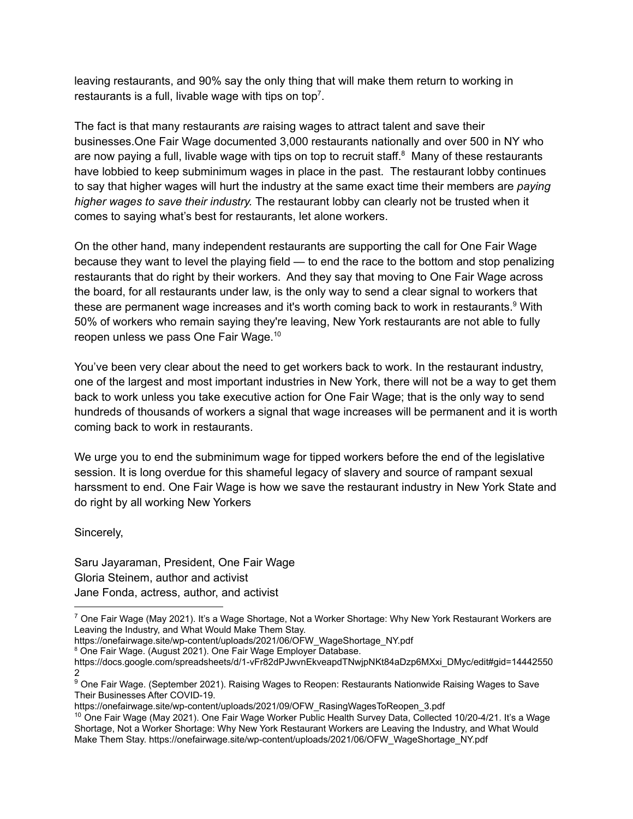leaving restaurants, and 90% say the only thing that will make them return to working in restaurants is a full, livable wage with tips on top<sup>7</sup>.

The fact is that many restaurants *are* raising wages to attract talent and save their businesses.One Fair Wage documented 3,000 restaurants nationally and over 500 in NY who are now paying a full, livable wage with tips on top to recruit staff.<sup>8</sup> Many of these restaurants have lobbied to keep subminimum wages in place in the past. The restaurant lobby continues to say that higher wages will hurt the industry at the same exact time their members are *paying higher wages to save their industry.* The restaurant lobby can clearly not be trusted when it comes to saying what's best for restaurants, let alone workers.

On the other hand, many independent restaurants are supporting the call for One Fair Wage because they want to level the playing field — to end the race to the bottom and stop penalizing restaurants that do right by their workers. And they say that moving to One Fair Wage across the board, for all restaurants under law, is the only way to send a clear signal to workers that these are permanent wage increases and it's worth coming back to work in restaurants.<sup>9</sup> With 50% of workers who remain saying they're leaving, New York restaurants are not able to fully reopen unless we pass One Fair Wage. 10

You've been very clear about the need to get workers back to work. In the restaurant industry, one of the largest and most important industries in New York, there will not be a way to get them back to work unless you take executive action for One Fair Wage; that is the only way to send hundreds of thousands of workers a signal that wage increases will be permanent and it is worth coming back to work in restaurants.

We urge you to end the subminimum wage for tipped workers before the end of the legislative session. It is long overdue for this shameful legacy of slavery and source of rampant sexual harssment to end. One Fair Wage is how we save the restaurant industry in New York State and do right by all working New Yorkers

Sincerely,

Saru Jayaraman, President, One Fair Wage Gloria Steinem, author and activist Jane Fonda, actress, author, and activist

- https://onefairwage.site/wp-content/uploads/2021/06/OFW\_WageShortage\_NY.pdf
- <sup>8</sup> One Fair Wage. (August 2021). One Fair Wage Employer Database.

 $7$  One Fair Wage (May 2021). It's a Wage Shortage, Not a Worker Shortage: Why New York Restaurant Workers are Leaving the Industry, and What Would Make Them Stay.

https://docs.google.com/spreadsheets/d/1-vFr82dPJwvnEkveapdTNwjpNKt84aDzp6MXxi\_DMyc/edit#gid=14442550 2

<sup>&</sup>lt;sup>9</sup> One Fair Wage. (September 2021). Raising Wages to Reopen: Restaurants Nationwide Raising Wages to Save Their Businesses After COVID-19.

https://onefairwage.site/wp-content/uploads/2021/09/OFW\_RasingWagesToReopen\_3.pdf

 $10$  One Fair Wage (May 2021). One Fair Wage Worker Public Health Survey Data, Collected 10/20-4/21. It's a Wage Shortage, Not a Worker Shortage: Why New York Restaurant Workers are Leaving the Industry, and What Would Make Them Stay. https://onefairwage.site/wp-content/uploads/2021/06/OFW\_WageShortage\_NY.pdf